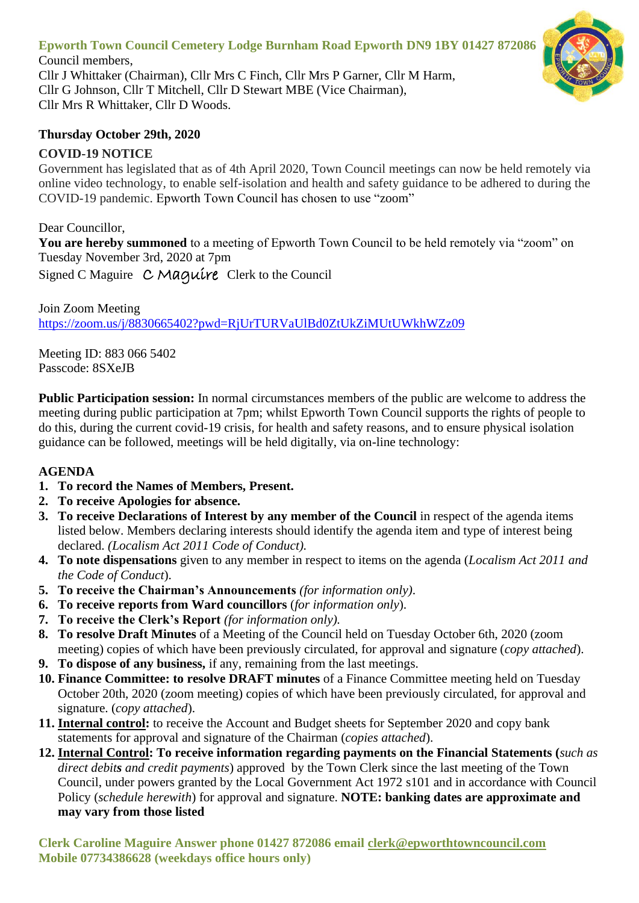# **Epworth Town Council Cemetery Lodge Burnham Road Epworth DN9 1BY 01427 872086**

Council members, Cllr J Whittaker (Chairman), Cllr Mrs C Finch, Cllr Mrs P Garner, Cllr M Harm, Cllr G Johnson, Cllr T Mitchell, Cllr D Stewart MBE (Vice Chairman), Cllr Mrs R Whittaker, Cllr D Woods.

### **Thursday October 29th, 2020**

## **COVID-19 NOTICE**

Government has legislated that as of 4th April 2020, Town Council meetings can now be held remotely via online video technology, to enable self-isolation and health and safety guidance to be adhered to during the COVID-19 pandemic. Epworth Town Council has chosen to use "zoom"

Dear Councillor, **You are hereby summoned** to a meeting of Epworth Town Council to be held remotely via "zoom" on Tuesday November 3rd, 2020 at 7pm Signed C Maguire C Maquire Clerk to the Council

Join Zoom Meeting <https://zoom.us/j/8830665402?pwd=RjUrTURVaUlBd0ZtUkZiMUtUWkhWZz09>

Meeting ID: 883 066 5402 Passcode: 8SXeJB

**Public Participation session:** In normal circumstances members of the public are welcome to address the meeting during public participation at 7pm; whilst Epworth Town Council supports the rights of people to do this, during the current covid-19 crisis, for health and safety reasons, and to ensure physical isolation guidance can be followed, meetings will be held digitally, via on-line technology:

## **AGENDA**

- **1. To record the Names of Members, Present.**
- **2. To receive Apologies for absence.**
- **3. To receive Declarations of Interest by any member of the Council** in respect of the agenda items listed below. Members declaring interests should identify the agenda item and type of interest being declared. *(Localism Act 2011 Code of Conduct).*
- **4. To note dispensations** given to any member in respect to items on the agenda (*Localism Act 2011 and the Code of Conduct*).
- **5. To receive the Chairman's Announcements** *(for information only)*.
- **6. To receive reports from Ward councillors** (*for information only*).
- **7. To receive the Clerk's Report** *(for information only).*
- **8. To resolve Draft Minutes** of a Meeting of the Council held on Tuesday October 6th, 2020 (zoom meeting) copies of which have been previously circulated, for approval and signature (*copy attached*).
- **9. To dispose of any business,** if any, remaining from the last meetings.
- **10. Finance Committee: to resolve DRAFT minutes** of a Finance Committee meeting held on Tuesday October 20th, 2020 (zoom meeting) copies of which have been previously circulated, for approval and signature. (*copy attached*).
- **11. Internal control:** to receive the Account and Budget sheets for September 2020 and copy bank statements for approval and signature of the Chairman (*copies attached*).
- **12. Internal Control: To receive information regarding payments on the Financial Statements (***such as direct debits and credit payments*) approved by the Town Clerk since the last meeting of the Town Council, under powers granted by the Local Government Act 1972 s101 and in accordance with Council Policy (*schedule herewith*) for approval and signature. **NOTE: banking dates are approximate and may vary from those listed**

**Clerk Caroline Maguire Answer phone 01427 872086 email [clerk@epworthtowncouncil.com](mailto:clerk@epworthtowncouncil.com) Mobile 07734386628 (weekdays office hours only)**

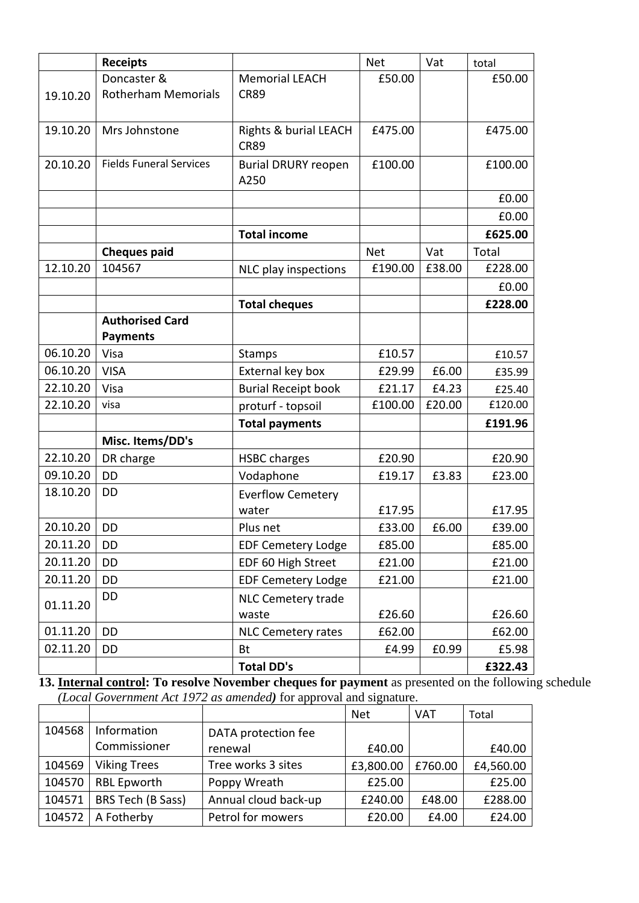|          | <b>Receipts</b>                |                            | <b>Net</b> | Vat    | total   |
|----------|--------------------------------|----------------------------|------------|--------|---------|
|          | Doncaster &                    | <b>Memorial LEACH</b>      | £50.00     |        | £50.00  |
| 19.10.20 | <b>Rotherham Memorials</b>     | <b>CR89</b>                |            |        |         |
|          |                                |                            |            |        |         |
| 19.10.20 | Mrs Johnstone                  | Rights & burial LEACH      | £475.00    |        | £475.00 |
|          |                                | <b>CR89</b>                |            |        |         |
| 20.10.20 | <b>Fields Funeral Services</b> | <b>Burial DRURY reopen</b> | £100.00    |        | £100.00 |
|          |                                | A250                       |            |        |         |
|          |                                |                            |            |        | £0.00   |
|          |                                |                            |            |        | £0.00   |
|          |                                | <b>Total income</b>        |            |        | £625.00 |
|          | <b>Cheques paid</b>            |                            | <b>Net</b> | Vat    | Total   |
| 12.10.20 | 104567                         | NLC play inspections       | £190.00    | £38.00 | £228.00 |
|          |                                |                            |            |        | £0.00   |
|          |                                | <b>Total cheques</b>       |            |        | £228.00 |
|          | <b>Authorised Card</b>         |                            |            |        |         |
|          | <b>Payments</b>                |                            |            |        |         |
| 06.10.20 | Visa                           | <b>Stamps</b>              | £10.57     |        | £10.57  |
| 06.10.20 | <b>VISA</b>                    | External key box           | £29.99     | £6.00  | £35.99  |
| 22.10.20 | Visa                           | <b>Burial Receipt book</b> | £21.17     | £4.23  | £25.40  |
| 22.10.20 | visa                           | proturf - topsoil          | £100.00    | £20.00 | £120.00 |
|          |                                | <b>Total payments</b>      |            |        | £191.96 |
|          | Misc. Items/DD's               |                            |            |        |         |
| 22.10.20 | DR charge                      | <b>HSBC charges</b>        | £20.90     |        | £20.90  |
| 09.10.20 | <b>DD</b>                      | Vodaphone                  | £19.17     | £3.83  | £23.00  |
| 18.10.20 | <b>DD</b>                      | <b>Everflow Cemetery</b>   |            |        |         |
|          |                                | water                      | £17.95     |        | £17.95  |
| 20.10.20 | <b>DD</b>                      | Plus net                   | £33.00     | £6.00  | £39.00  |
| 20.11.20 | DD                             | <b>EDF Cemetery Lodge</b>  | £85.00     |        | £85.00  |
| 20.11.20 | DD                             | EDF 60 High Street         | £21.00     |        | £21.00  |
| 20.11.20 | DD                             | <b>EDF Cemetery Lodge</b>  | £21.00     |        | £21.00  |
| 01.11.20 | DD                             | NLC Cemetery trade         |            |        |         |
|          |                                | waste                      | £26.60     |        | £26.60  |
| 01.11.20 | DD                             | <b>NLC Cemetery rates</b>  | £62.00     |        | £62.00  |
| 02.11.20 | DD                             | <b>Bt</b>                  | £4.99      | £0.99  | £5.98   |
|          |                                | <b>Total DD's</b>          |            |        | £322.43 |

**13. Internal control: To resolve November cheques for payment** as presented on the following schedule *(Local Government Act 1972 as amended)* for approval and signature.

|        |                     |                      | <b>Net</b> | <b>VAT</b> | Total     |
|--------|---------------------|----------------------|------------|------------|-----------|
| 104568 | Information         | DATA protection fee  |            |            |           |
|        | Commissioner        | renewal              | £40.00     |            | £40.00    |
| 104569 | <b>Viking Trees</b> | Tree works 3 sites   | £3,800.00  | £760.00    | £4,560.00 |
| 104570 | <b>RBL Epworth</b>  | Poppy Wreath         | £25.00     |            | £25.00    |
| 104571 | BRS Tech (B Sass)   | Annual cloud back-up | £240.00    | £48.00     | £288.00   |
| 104572 | A Fotherby          | Petrol for mowers    | £20.00     | £4.00      | £24.00    |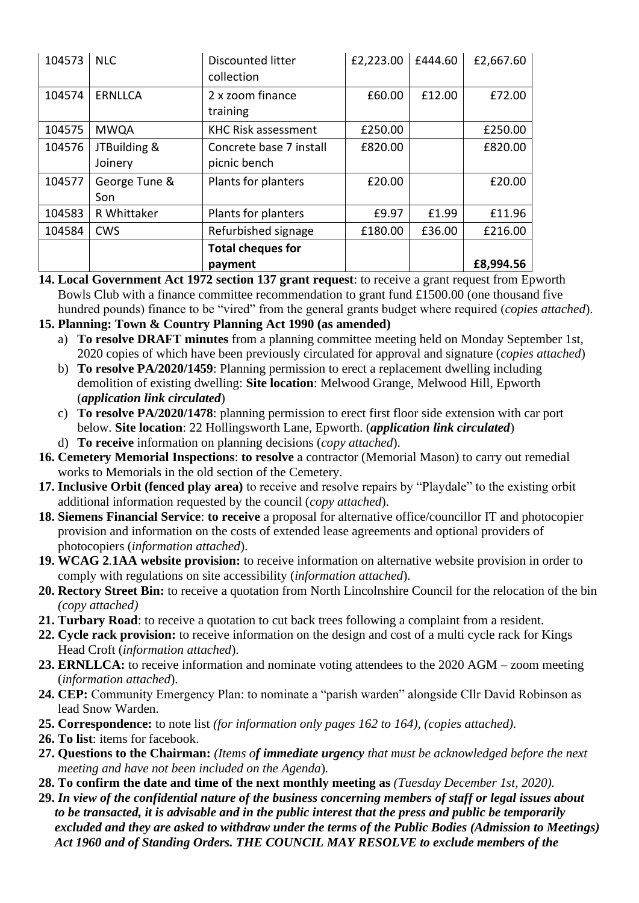| 104573 | <b>NLC</b>              | <b>Discounted litter</b><br>collection  | £2,223.00 | £444.60 | £2,667.60 |
|--------|-------------------------|-----------------------------------------|-----------|---------|-----------|
| 104574 | <b>ERNLLCA</b>          | 2 x zoom finance<br>training            | £60.00    | £12.00  | £72.00    |
| 104575 | <b>MWQA</b>             | <b>KHC Risk assessment</b>              | £250.00   |         | £250.00   |
| 104576 | JTBuilding &<br>Joinery | Concrete base 7 install<br>picnic bench | £820.00   |         | £820.00   |
| 104577 | George Tune &<br>Son    | Plants for planters                     | £20.00    |         | £20.00    |
| 104583 | R Whittaker             | Plants for planters                     | £9.97     | £1.99   | £11.96    |
| 104584 | <b>CWS</b>              | Refurbished signage                     | £180.00   | £36.00  | £216.00   |
|        |                         | <b>Total cheques for</b>                |           |         |           |
|        |                         | payment                                 |           |         | £8,994.56 |

**14. Local Government Act 1972 section 137 grant request**: to receive a grant request from Epworth Bowls Club with a finance committee recommendation to grant fund £1500.00 (one thousand five hundred pounds) finance to be "vired" from the general grants budget where required (*copies attached*).

#### **15. Planning: Town & Country Planning Act 1990 (as amended)**

- a) **To resolve DRAFT minutes** from a planning committee meeting held on Monday September 1st, 2020 copies of which have been previously circulated for approval and signature (*copies attached*)
- b) **To resolve PA/2020/1459**: Planning permission to erect a replacement dwelling including demolition of existing dwelling: **Site location**: Melwood Grange, Melwood Hill, Epworth (*application link circulated*)
- c) **To resolve PA/2020/1478**: planning permission to erect first floor side extension with car port below. **Site location**: 22 Hollingsworth Lane, Epworth. (*application link circulated*)
- d) **To receive** information on planning decisions (*copy attached*).
- **16. Cemetery Memorial Inspections**: **to resolve** a contractor (Memorial Mason) to carry out remedial works to Memorials in the old section of the Cemetery.
- **17. Inclusive Orbit (fenced play area)** to receive and resolve repairs by "Playdale" to the existing orbit additional information requested by the council (*copy attached*).
- **18. Siemens Financial Service**: **to receive** a proposal for alternative office/councillor IT and photocopier provision and information on the costs of extended lease agreements and optional providers of photocopiers (*information attached*).
- **19. WCAG 2***.***1AA website provision:** to receive information on alternative website provision in order to comply with regulations on site accessibility (*information attached*).
- **20. Rectory Street Bin:** to receive a quotation from North Lincolnshire Council for the relocation of the bin *(copy attached)*
- **21. Turbary Road**: to receive a quotation to cut back trees following a complaint from a resident.
- **22. Cycle rack provision:** to receive information on the design and cost of a multi cycle rack for Kings Head Croft (*information attached*).
- **23. ERNLLCA:** to receive information and nominate voting attendees to the 2020 AGM zoom meeting (*information attached*).
- **24. CEP:** Community Emergency Plan: to nominate a "parish warden" alongside Cllr David Robinson as lead Snow Warden.
- **25. Correspondence:** to note list *(for information only pages 162 to 164), (copies attached).*
- **26. To list**: items for facebook.
- **27. Questions to the Chairman:** *(Items of immediate urgency that must be acknowledged before the next meeting and have not been included on the Agenda*)*.*
- **28. To confirm the date and time of the next monthly meeting as** *(Tuesday December 1st, 2020).*
- **29.** *In view of the confidential nature of the business concerning members of staff or legal issues about to be transacted, it is advisable and in the public interest that the press and public be temporarily excluded and they are asked to withdraw under the terms of the Public Bodies (Admission to Meetings) Act 1960 and of Standing Orders. THE COUNCIL MAY RESOLVE to exclude members of the*